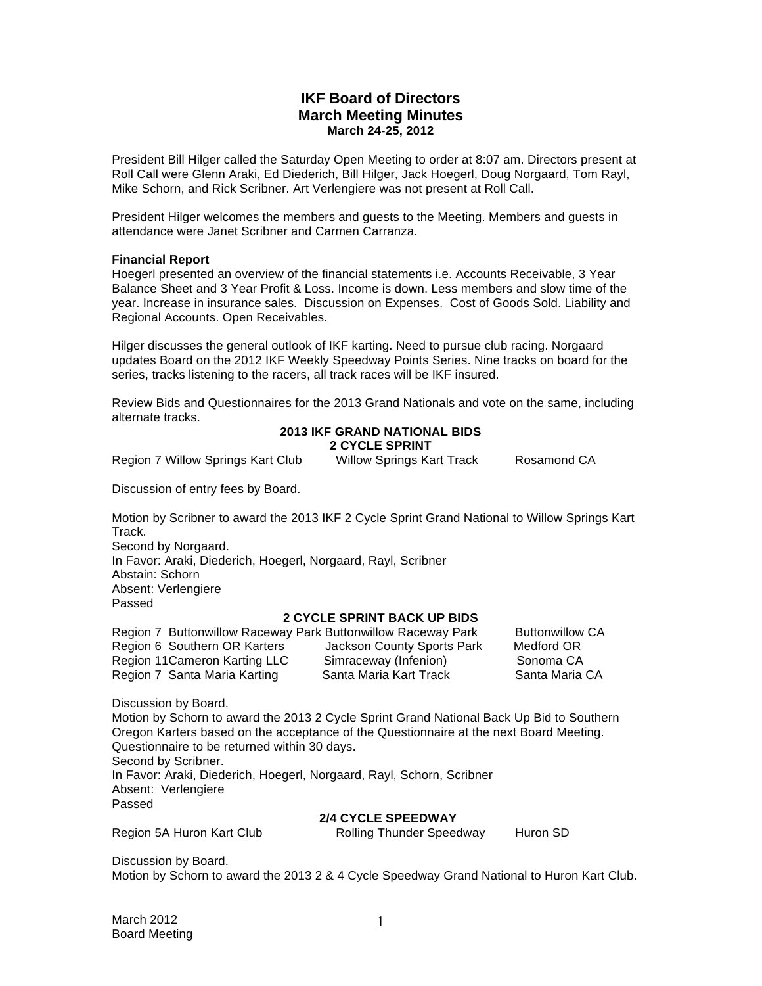# **IKF Board of Directors March Meeting Minutes March 24-25, 2012**

President Bill Hilger called the Saturday Open Meeting to order at 8:07 am. Directors present at Roll Call were Glenn Araki, Ed Diederich, Bill Hilger, Jack Hoegerl, Doug Norgaard, Tom Rayl, Mike Schorn, and Rick Scribner. Art Verlengiere was not present at Roll Call.

President Hilger welcomes the members and guests to the Meeting. Members and guests in attendance were Janet Scribner and Carmen Carranza.

### **Financial Report**

Hoegerl presented an overview of the financial statements i.e. Accounts Receivable, 3 Year Balance Sheet and 3 Year Profit & Loss. Income is down. Less members and slow time of the year. Increase in insurance sales. Discussion on Expenses. Cost of Goods Sold. Liability and Regional Accounts. Open Receivables.

Hilger discusses the general outlook of IKF karting. Need to pursue club racing. Norgaard updates Board on the 2012 IKF Weekly Speedway Points Series. Nine tracks on board for the series, tracks listening to the racers, all track races will be IKF insured.

Review Bids and Questionnaires for the 2013 Grand Nationals and vote on the same, including alternate tracks.

# **2013 IKF GRAND NATIONAL BIDS 2 CYCLE SPRINT**

Region 7 Willow Springs Kart Club Willow Springs Kart Track Rosamond CA

Discussion of entry fees by Board.

Motion by Scribner to award the 2013 IKF 2 Cycle Sprint Grand National to Willow Springs Kart Track.

Second by Norgaard.

In Favor: Araki, Diederich, Hoegerl, Norgaard, Rayl, Scribner

Abstain: Schorn Absent: Verlengiere Passed

# **2 CYCLE SPRINT BACK UP BIDS**

Region 7 Buttonwillow Raceway Park Buttonwillow Raceway Park Buttonwillow CA<br>Region 6 Southern OR Karters (Jackson County Sports Park Medford OR Region 6 Southern OR Karters Jackson County Sports Park Region 11 Cameron Karting LLC Simraceway (Infenion) Sonoma CA Region 7 Santa Maria Karting Santa Maria Kart Track Santa Maria CA

Discussion by Board.

Motion by Schorn to award the 2013 2 Cycle Sprint Grand National Back Up Bid to Southern Oregon Karters based on the acceptance of the Questionnaire at the next Board Meeting. Questionnaire to be returned within 30 days. Second by Scribner. In Favor: Araki, Diederich, Hoegerl, Norgaard, Rayl, Schorn, Scribner Absent: Verlengiere Passed

#### **2/4 CYCLE SPEEDWAY**

Region 5A Huron Kart Club **Rolling Thunder Speedway** Huron SD

Discussion by Board. Motion by Schorn to award the 2013 2 & 4 Cycle Speedway Grand National to Huron Kart Club.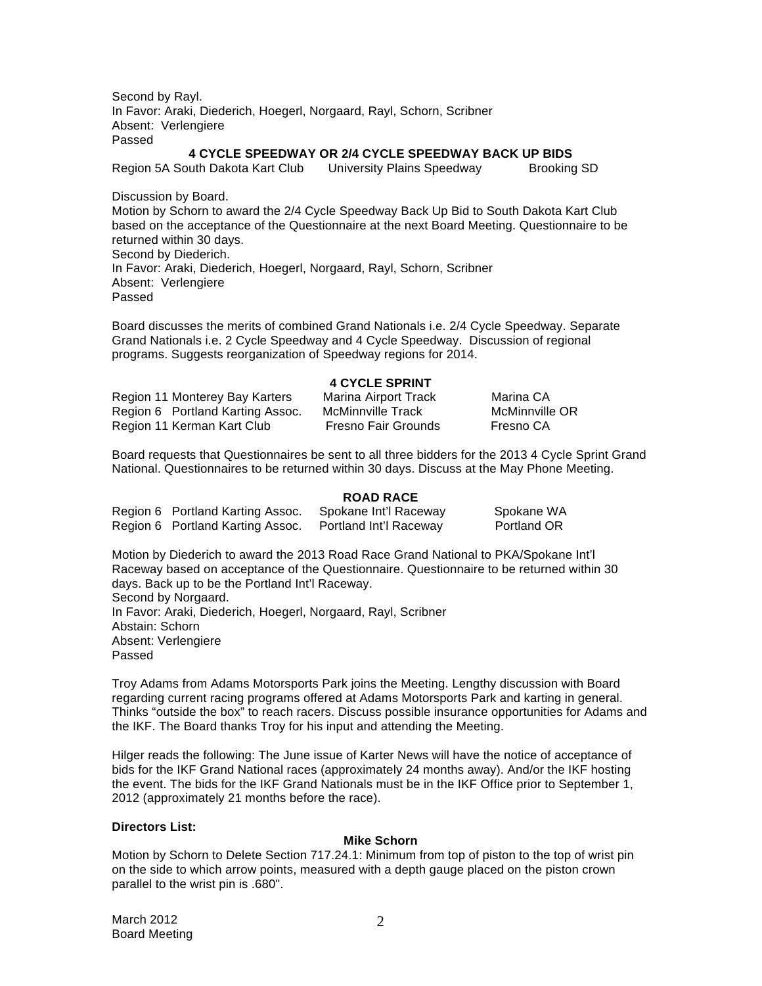Second by Rayl. In Favor: Araki, Diederich, Hoegerl, Norgaard, Rayl, Schorn, Scribner Absent: Verlengiere Passed

## **4 CYCLE SPEEDWAY OR 2/4 CYCLE SPEEDWAY BACK UP BIDS**

Region 5A South Dakota Kart Club University Plains Speedway Brooking SD

Discussion by Board. Motion by Schorn to award the 2/4 Cycle Speedway Back Up Bid to South Dakota Kart Club based on the acceptance of the Questionnaire at the next Board Meeting. Questionnaire to be returned within 30 days. Second by Diederich. In Favor: Araki, Diederich, Hoegerl, Norgaard, Rayl, Schorn, Scribner Absent: Verlengiere Passed

Board discusses the merits of combined Grand Nationals i.e. 2/4 Cycle Speedway. Separate Grand Nationals i.e. 2 Cycle Speedway and 4 Cycle Speedway. Discussion of regional programs. Suggests reorganization of Speedway regions for 2014.

### **4 CYCLE SPRINT**

Region 11 Monterey Bay Karters Marina Airport Track Marina CA Region 6 Portland Karting Assoc. McMinnville Track McMinnville OR Region 11 Kerman Kart Club Fresno Fair Grounds Fresno CA

Board requests that Questionnaires be sent to all three bidders for the 2013 4 Cycle Sprint Grand National. Questionnaires to be returned within 30 days. Discuss at the May Phone Meeting.

### **ROAD RACE**

| Region 6 Portland Karting Assoc. | Spokane Int'l Raceway  | Spokane WA  |
|----------------------------------|------------------------|-------------|
| Region 6 Portland Karting Assoc. | Portland Int'l Raceway | Portland OR |

Motion by Diederich to award the 2013 Road Race Grand National to PKA/Spokane Int'l Raceway based on acceptance of the Questionnaire. Questionnaire to be returned within 30 days. Back up to be the Portland Int'l Raceway. Second by Norgaard. In Favor: Araki, Diederich, Hoegerl, Norgaard, Rayl, Scribner Abstain: Schorn Absent: Verlengiere Passed

Troy Adams from Adams Motorsports Park joins the Meeting. Lengthy discussion with Board regarding current racing programs offered at Adams Motorsports Park and karting in general. Thinks "outside the box" to reach racers. Discuss possible insurance opportunities for Adams and the IKF. The Board thanks Troy for his input and attending the Meeting.

Hilger reads the following: The June issue of Karter News will have the notice of acceptance of bids for the IKF Grand National races (approximately 24 months away). And/or the IKF hosting the event. The bids for the IKF Grand Nationals must be in the IKF Office prior to September 1, 2012 (approximately 21 months before the race).

#### **Directors List:**

### **Mike Schorn**

Motion by Schorn to Delete Section 717.24.1: Minimum from top of piston to the top of wrist pin on the side to which arrow points, measured with a depth gauge placed on the piston crown parallel to the wrist pin is .680".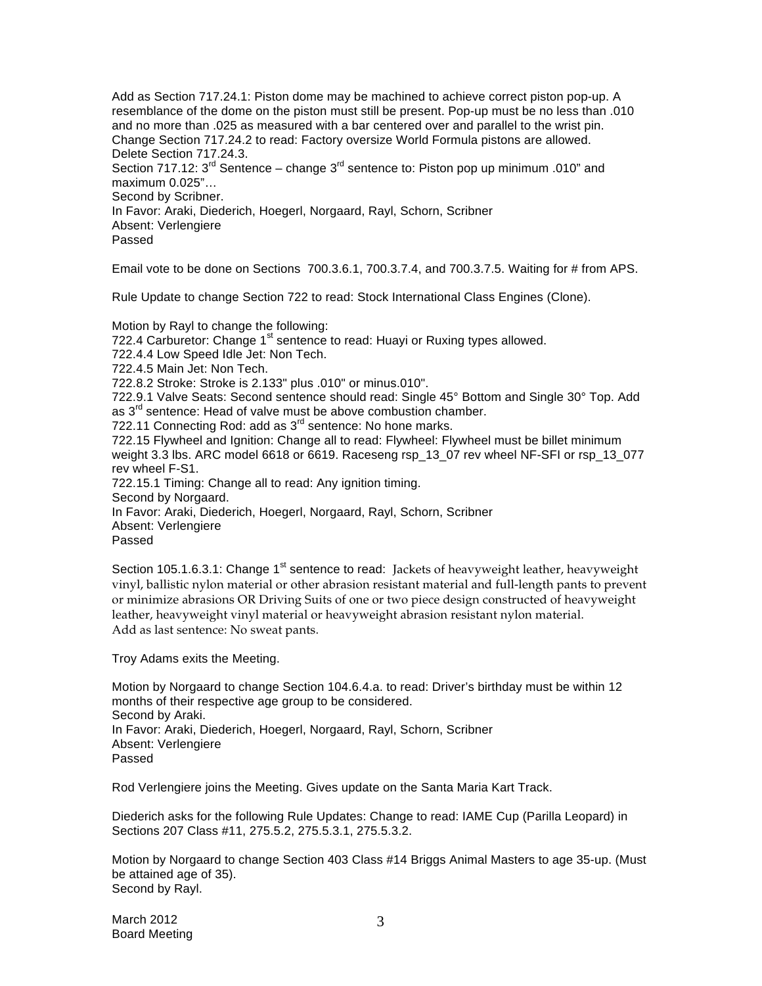Add as Section 717.24.1: Piston dome may be machined to achieve correct piston pop-up. A resemblance of the dome on the piston must still be present. Pop-up must be no less than .010 and no more than .025 as measured with a bar centered over and parallel to the wrist pin. Change Section 717.24.2 to read: Factory oversize World Formula pistons are allowed. Delete Section 717.24.3. Section 717.12:  $3^{\text{rd}}$  Sentence – change  $3^{\text{rd}}$  sentence to: Piston pop up minimum .010" and maximum 0.025"… Second by Scribner. In Favor: Araki, Diederich, Hoegerl, Norgaard, Rayl, Schorn, Scribner Absent: Verlengiere Passed

Email vote to be done on Sections 700.3.6.1, 700.3.7.4, and 700.3.7.5. Waiting for # from APS.

Rule Update to change Section 722 to read: Stock International Class Engines (Clone).

Motion by Rayl to change the following: 722.4 Carburetor: Change 1<sup>st</sup> sentence to read: Huayi or Ruxing types allowed. 722.4.4 Low Speed Idle Jet: Non Tech. 722.4.5 Main Jet: Non Tech. 722.8.2 Stroke: Stroke is 2.133" plus .010" or minus.010". 722.9.1 Valve Seats: Second sentence should read: Single 45° Bottom and Single 30° Top. Add as  $3<sup>rd</sup>$  sentence: Head of valve must be above combustion chamber. 722.11 Connecting Rod: add as  $3<sup>rd</sup>$  sentence: No hone marks. 722.15 Flywheel and Ignition: Change all to read: Flywheel: Flywheel must be billet minimum weight 3.3 lbs. ARC model 6618 or 6619. Raceseng rsp\_13\_07 rev wheel NF-SFI or rsp\_13\_077 rev wheel F-S1. 722.15.1 Timing: Change all to read: Any ignition timing. Second by Norgaard. In Favor: Araki, Diederich, Hoegerl, Norgaard, Rayl, Schorn, Scribner Absent: Verlengiere Passed

Section 105.1.6.3.1: Change 1<sup>st</sup> sentence to read: Jackets of heavyweight leather, heavyweight vinyl, ballistic nylon material or other abrasion resistant material and full-length pants to prevent or minimize abrasions OR Driving Suits of one or two piece design constructed of heavyweight leather, heavyweight vinyl material or heavyweight abrasion resistant nylon material. Add as last sentence: No sweat pants.

Troy Adams exits the Meeting.

Motion by Norgaard to change Section 104.6.4.a. to read: Driver's birthday must be within 12 months of their respective age group to be considered. Second by Araki. In Favor: Araki, Diederich, Hoegerl, Norgaard, Rayl, Schorn, Scribner Absent: Verlengiere Passed

Rod Verlengiere joins the Meeting. Gives update on the Santa Maria Kart Track.

Diederich asks for the following Rule Updates: Change to read: IAME Cup (Parilla Leopard) in Sections 207 Class #11, 275.5.2, 275.5.3.1, 275.5.3.2.

Motion by Norgaard to change Section 403 Class #14 Briggs Animal Masters to age 35-up. (Must be attained age of 35). Second by Rayl.

March 2012 Board Meeting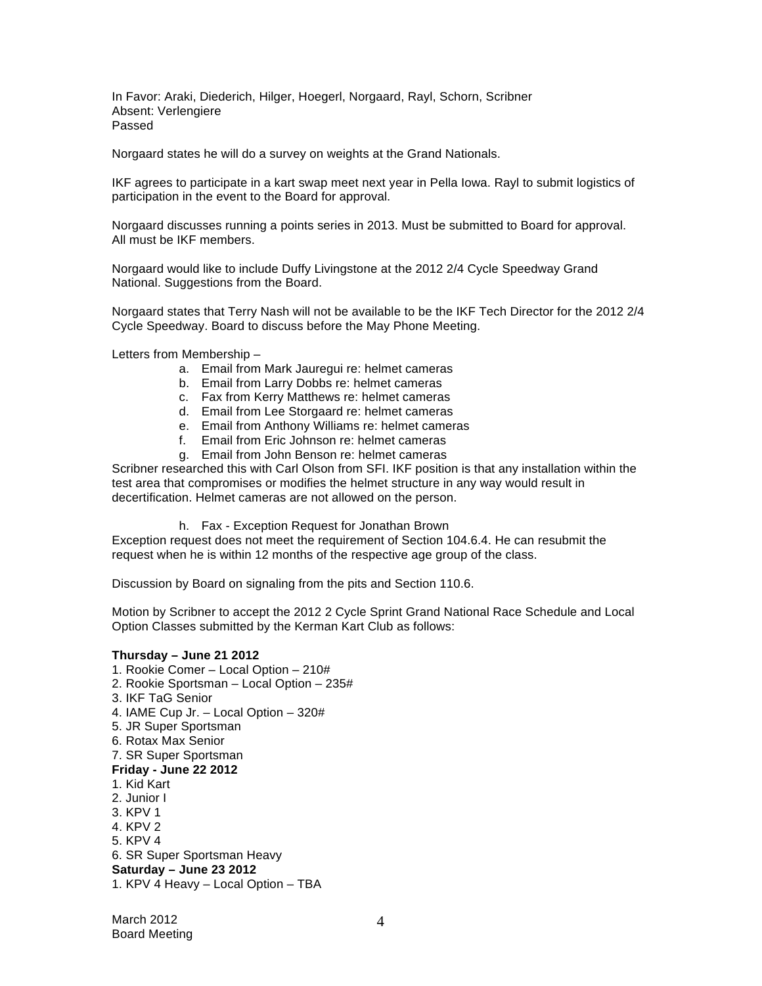In Favor: Araki, Diederich, Hilger, Hoegerl, Norgaard, Rayl, Schorn, Scribner Absent: Verlengiere Passed

Norgaard states he will do a survey on weights at the Grand Nationals.

IKF agrees to participate in a kart swap meet next year in Pella Iowa. Rayl to submit logistics of participation in the event to the Board for approval.

Norgaard discusses running a points series in 2013. Must be submitted to Board for approval. All must be IKF members.

Norgaard would like to include Duffy Livingstone at the 2012 2/4 Cycle Speedway Grand National. Suggestions from the Board.

Norgaard states that Terry Nash will not be available to be the IKF Tech Director for the 2012 2/4 Cycle Speedway. Board to discuss before the May Phone Meeting.

Letters from Membership –

- a. Email from Mark Jauregui re: helmet cameras
- b. Email from Larry Dobbs re: helmet cameras
- c. Fax from Kerry Matthews re: helmet cameras
- d. Email from Lee Storgaard re: helmet cameras
- e. Email from Anthony Williams re: helmet cameras
- f. Email from Eric Johnson re: helmet cameras
- g. Email from John Benson re: helmet cameras

Scribner researched this with Carl Olson from SFI. IKF position is that any installation within the test area that compromises or modifies the helmet structure in any way would result in decertification. Helmet cameras are not allowed on the person.

h. Fax - Exception Request for Jonathan Brown

Exception request does not meet the requirement of Section 104.6.4. He can resubmit the request when he is within 12 months of the respective age group of the class.

Discussion by Board on signaling from the pits and Section 110.6.

Motion by Scribner to accept the 2012 2 Cycle Sprint Grand National Race Schedule and Local Option Classes submitted by the Kerman Kart Club as follows:

#### **Thursday – June 21 2012**

1. Rookie Comer – Local Option – 210# 2. Rookie Sportsman – Local Option – 235# 3. IKF TaG Senior 4. IAME Cup Jr. – Local Option – 320# 5. JR Super Sportsman 6. Rotax Max Senior 7. SR Super Sportsman **Friday - June 22 2012**  1. Kid Kart 2. Junior I 3. KPV 1 4. KPV 2 5. KPV 4 6. SR Super Sportsman Heavy **Saturday – June 23 2012**  1. KPV 4 Heavy – Local Option – TBA

March 2012 Board Meeting